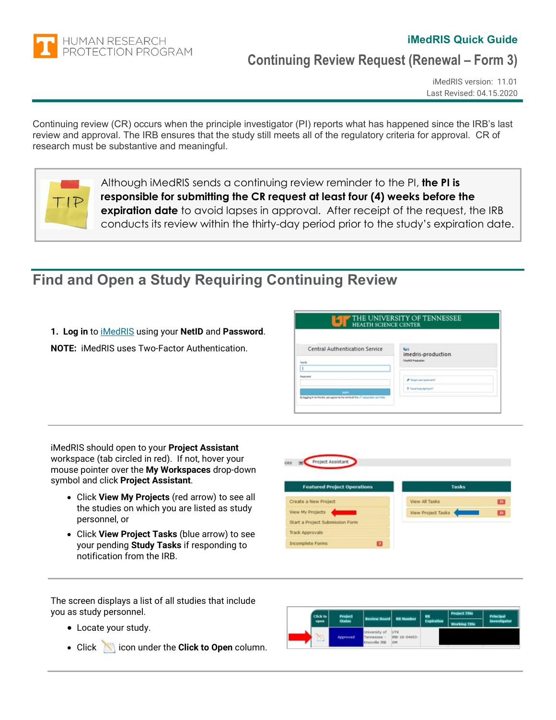

## **iMedRIS Quick Guide**

## **Continuing Review Request (Renewal – Form 3)**

iMedRIS version: 11.01 Last Revised: 04.15.2020

Continuing review (CR) occurs when the principle investigator (PI) reports what has happened since the IRB's last review and approval. The IRB ensures that the study still meets all of the regulatory criteria for approval. CR of research must be substantive and meaningful.



Although iMedRIS sends a continuing review reminder to the PI, **the PI is responsible for submitting the CR request at least four (4) weeks before the expiration date** to avoid lapses in approval. After receipt of the request, the IRB conducts its review within the thirty-day period prior to the study's expiration date.

## **Find and Open a Study Requiring Continuing Review**

- **1. Log in** to [iMedRIS](https://imedris.uthsc.edu/) using your **NetID** and **Password**.
- **NOTE:** iMedRIS uses Two-Factor Authentication.

| <b>HEALTH SCIENCE CENTER</b>                                                                                   | THE UNIVERSITY OF TENNESSEE                       |
|----------------------------------------------------------------------------------------------------------------|---------------------------------------------------|
| <b>Central Authentication Service</b><br>Netto                                                                 | imedris-production<br><b>INveltä Insauzion</b>    |
| Postcolni<br><b>SOFT</b><br>Bylagging in northis alta, you agree to the terminal the UT beautrable Lice Policy | P Regardamyasanarah<br>P. Nasal halp digning left |

iMedRIS should open to your **Project Assistant** workspace (tab circled in red). If not, hover your mouse pointer over the **My Workspaces** drop-down symbol and click **Project Assistant**.

- Click **View My Projects** (red arrow) to see all the studies on which you are listed as study personnel, or
- Click **View Project Tasks** (blue arrow) to see your pending **Study Tasks** if responding to notification from the IRB.



The screen displays a list of all studies that include you as study personnel.

- Locate your study.
- Click **in the Click to Open** column.

| Click to | Project       | <b>Review Board RB Number</b>                 |                             | <b>RB</b>         | <b>Project Title</b> | <b>Principal</b> |  |
|----------|---------------|-----------------------------------------------|-----------------------------|-------------------|----------------------|------------------|--|
| open     | <b>Status</b> |                                               |                             | <b>Expiration</b> | <b>Working Title</b> | Investigator     |  |
|          | Approved      | University of<br>Tennessee -<br>Knoxville IRB | UTK<br>IRB-18-04693-<br>304 |                   |                      |                  |  |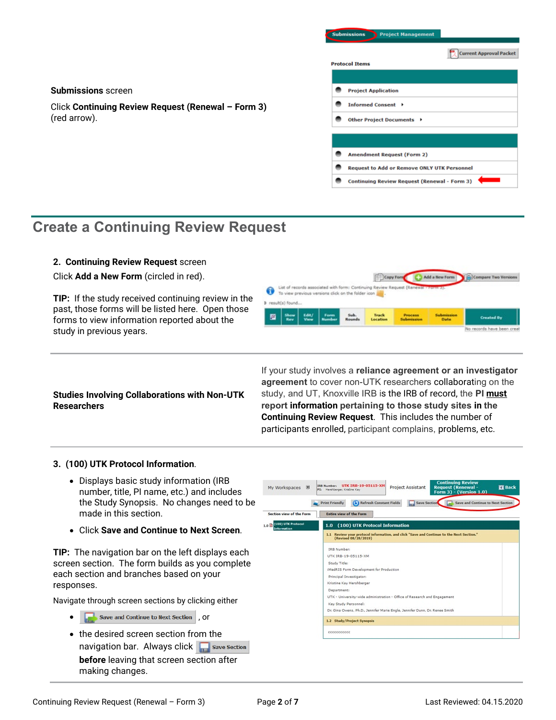| <b>Submissions</b>         |                                   | <b>Project Management</b>                           |                                |
|----------------------------|-----------------------------------|-----------------------------------------------------|--------------------------------|
|                            |                                   |                                                     | <b>Current Approval Packet</b> |
| <b>Protocol Items</b>      |                                   |                                                     |                                |
|                            |                                   |                                                     |                                |
| <b>Project Application</b> |                                   |                                                     |                                |
|                            | Informed Consent →                |                                                     |                                |
|                            | Other Project Documents ▶         |                                                     |                                |
|                            |                                   |                                                     |                                |
|                            |                                   |                                                     |                                |
|                            | <b>Amendment Request (Form 2)</b> |                                                     |                                |
|                            |                                   | <b>Request to Add or Remove ONLY UTK Personnel</b>  |                                |
|                            |                                   | <b>Continuing Review Request (Renewal - Form 3)</b> |                                |

Add a New Fo

 $\frac{1}{2}$ Con

o records have been

## **Create a Continuing Review Request**

Click **Continuing Review Request (Renewal – Form 3)**

### **2. Continuing Review Request** screen

**Submissions** screen

(red arrow).

Click **Add a New Form** (circled in red).

**TIP:** If the study received continuing review in the past, those forms will be listed here. Open those forms to view information reported about the study in previous years.

## **Studies Involving Collaborations with Non-UTK Researchers**

If your study involves a **reliance agreement or an investigator agreement** to cover non-UTK researchers collaborating on the study, and UT, Knoxville IRB is the IRB of record, the **PI must report information pertaining to those study sites in the Continuing Review Request**. This includes the number of participants enrolled, participant complains, problems, etc.

 $\Box$ o

Track

ist of records associated with form: C

To view previous versions click on the folder icon

❸

庮

**D** result(s) found

## **3. (100) UTK Protocol Information**.

- Displays basic study information (IRB number, title, PI name, etc.) and includes the Study Synopsis. No changes need to be made in this section.
- Click **Save and Continue to Next Screen**.

**TIP:** The navigation bar on the left displays each screen section. The form builds as you complete each section and branches based on your responses.

Navigate through screen sections by clicking either

- **Save and Continue to Next Section**, OF
- the desired screen section from the navigation bar. Always click **Follow** Section **before** leaving that screen section after making changes.

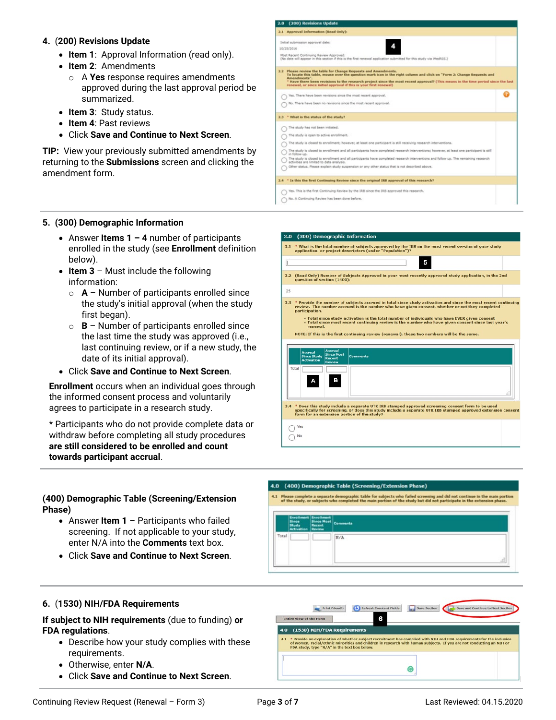#### **4.** (**200) Revisions Update**

- **Item 1**: Approval Information (read only).
- **Item 2**: Amendments
	- o A **Yes** response requires amendments approved during the last approval period be summarized.
- **Item 3**: Study status.
- **Item 4**: Past reviews
- Click **Save and Continue to Next Screen**.

**TIP:** View your previously submitted amendments by returning to the **Submissions** screen and clicking the amendment form.

| 2.1 Approval Information (Read Only):                                                                                                                                                                                                                                                                                                                                                                              |  |
|--------------------------------------------------------------------------------------------------------------------------------------------------------------------------------------------------------------------------------------------------------------------------------------------------------------------------------------------------------------------------------------------------------------------|--|
| Initial submission approval date:                                                                                                                                                                                                                                                                                                                                                                                  |  |
| 10/25/2016                                                                                                                                                                                                                                                                                                                                                                                                         |  |
| Rost Recent Continuing Review Approved:<br>(No date will appear in this section if this is the first renewal application submitted for this study via MedRIS.)                                                                                                                                                                                                                                                     |  |
| 2.2 Please review the table for Change Requests and Amendments.<br>To locate this table, mouse over the question mark icon in the right column and click on "Form 2: Change Requests and<br>Amendments".<br>* Have there been revisions to the research project since the most recent approval? (This means in the time period since the last<br>renewal, or since initial approval if this is your first renewal) |  |
| Yes. There have been revisions since the most recent approval.                                                                                                                                                                                                                                                                                                                                                     |  |
| No. There have been no revisions since the most recent approval.                                                                                                                                                                                                                                                                                                                                                   |  |
| 2.3 * What is the status of the study?                                                                                                                                                                                                                                                                                                                                                                             |  |
|                                                                                                                                                                                                                                                                                                                                                                                                                    |  |
| The study has not been initiated.                                                                                                                                                                                                                                                                                                                                                                                  |  |
| The study is open to active enrollment.                                                                                                                                                                                                                                                                                                                                                                            |  |
| The study is closed to enrollment; however, at least one participant is still receiving research interventions.                                                                                                                                                                                                                                                                                                    |  |
| The study is closed to enrollment and all participants have completed research interventions; however, at least one participant is still<br>in follow-up.                                                                                                                                                                                                                                                          |  |
| The study is closed to enrolment and all participants have completed research interventions and follow up. The remaining research<br>activities are limited to data analysis.                                                                                                                                                                                                                                      |  |
| Other status. Please explain study suspension or any other status that is not described above.                                                                                                                                                                                                                                                                                                                     |  |

#### **5. (300) Demographic Information**

- Answer **Items 1 – 4** number of participants enrolled in the study (see **Enrollment** definition below).
- **Item 3** Must include the following information:
	- o **A** Number of participants enrolled since the study's initial approval (when the study first began).
	- o **B** Number of participants enrolled since the last time the study was approved (i.e., last continuing review, or if a new study, the date of its initial approval).
- Click **Save and Continue to Next Screen**.

**Enrollment** occurs when an individual goes through the informed consent process and voluntarily agrees to participate in a research study.

\* Participants who do not provide complete data or withdraw before completing all study procedures **are still considered to be enrolled and count towards participant accrual**.

#### **(400) Demographic Table (Screening/Extension Phase)**

- Answer **Item 1** Participants who failed screening. If not applicable to your study, enter N/A into the **Comments** text box.
- Click **Save and Continue to Next Screen**.



- 4.0 (400) Demographic Table (Screening/Extension Phase)
- 4.1 Please complete a separate demographic table for subjects who failed screening and did not continue in the main portio<br>of the study, or subjects who completed the main portion of the study but did not participate in th

|       | <b>Activation Review</b> | Enrollment Since Most<br>Since Most<br>Recent<br>Since Comments |
|-------|--------------------------|-----------------------------------------------------------------|
| Total |                          | $N/\lambda$                                                     |
|       |                          | .ti                                                             |

#### **6.** (**1530) NIH/FDA Requirements**

**If subject to NIH requirements** (due to funding) **or FDA regulations**.

- Describe how your study complies with these requirements.
- Otherwise, enter **N/A**.
- Click **Save and Continue to Next Screen**.

| 4.0 | (1530) NIH/FDA Requirements                                                                                                                                          |  |  |  |  |
|-----|----------------------------------------------------------------------------------------------------------------------------------------------------------------------|--|--|--|--|
|     |                                                                                                                                                                      |  |  |  |  |
|     |                                                                                                                                                                      |  |  |  |  |
| 4.1 | * Provide an explanation of whether subject recruitment has complied with NIH and FDA requirements for the inclusion                                                 |  |  |  |  |
|     | of women, racial/ethnic minorities and children in research with human subjects. If you are not conducting an NIH or<br>FDA study, type "N/A" in the text box below. |  |  |  |  |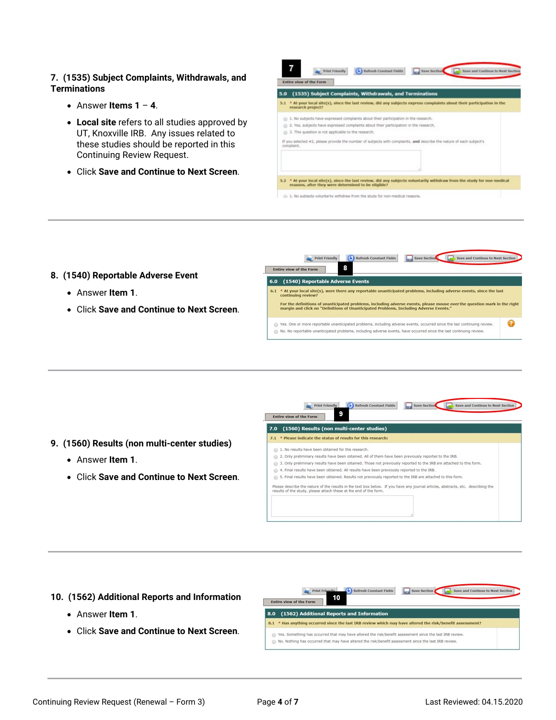### **7. (1535) Subject Complaints, Withdrawals, and Terminations**

- Answer **Items 1 4**.
- **Local site** refers to all studies approved by UT, Knoxville IRB. Any issues related to these studies should be reported in this Continuing Review Request.
- Click **Save and Continue to Next Screen**.

| 5.0     | (1535) Subject Complaints, Withdrawals, and Terminations                                                                                  |
|---------|-------------------------------------------------------------------------------------------------------------------------------------------|
| $5 - 1$ | * At your local site(s), since the last review, did any subjects express complaints about their participation in the<br>research project? |
|         | 1. No subjects have expressed complaints about their participation in the research.                                                       |
|         | 2. Yes, subjects have expressed complaints about their participation in the research.                                                     |
|         | 3. This question is not applicable to the research.                                                                                       |
|         | If you selected #2, please provide the number of subjects with complaints, and describe the nature of each subject's<br>complaint.        |
|         |                                                                                                                                           |
|         |                                                                                                                                           |
|         |                                                                                                                                           |

### **8. (1540) Reportable Adverse Event**

- Answer **Item 1**.
- Click **Save and Continue to Next Screen**.



- **9. (1560) Results (non multi-center studies)**
	- Answer **Item 1**.
	- Click **Save and Continue to Next Screen**.



#### **10. (1562) Additional Reports and Information**

- Answer **Item 1**.
- Click **Save and Continue to Next Screen**.

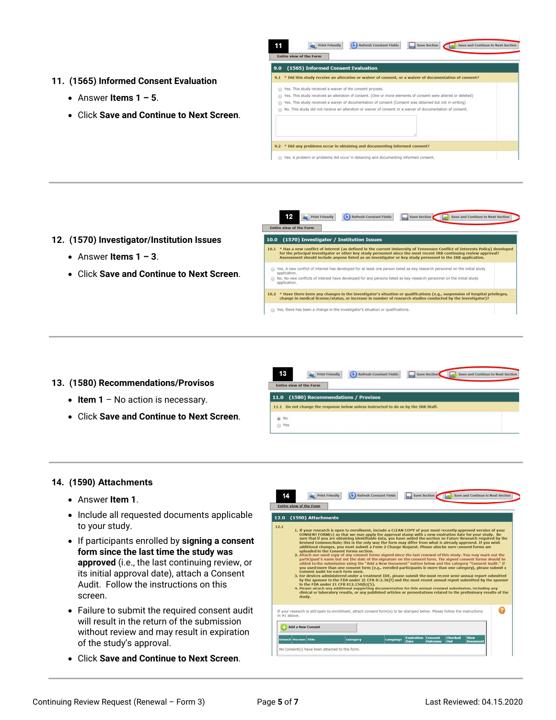- **11. (1565) Informed Consent Evaluation**
	- Answer **Items 1 – 5**.
	- Click **Save and Continue to Next Screen**.



- **12. (1570) Investigator/Institution Issues**
	- Answer **Items 1 – 3**.
	- Click **Save and Continue to Next Screen**.



- **13. (1580) Recommendations/Provisos**
	- **Item 1** No action is necessary.
	- Click **Save and Continue to Next Screen**.



#### **14. (1590) Attachments**

- Answer **Item 1**.
- Include all requested documents applicable to your study.
- If participants enrolled by **signing a consent form since the last time the study was approved** (i.e., the last continuing review, or its initial approval date), attach a Consent Audit. Follow the instructions on this screen.
- Failure to submit the required consent audit will result in the return of the submission without review and may result in expiration of the study's approval.
- Click **Save and Continue to Next Screen**.

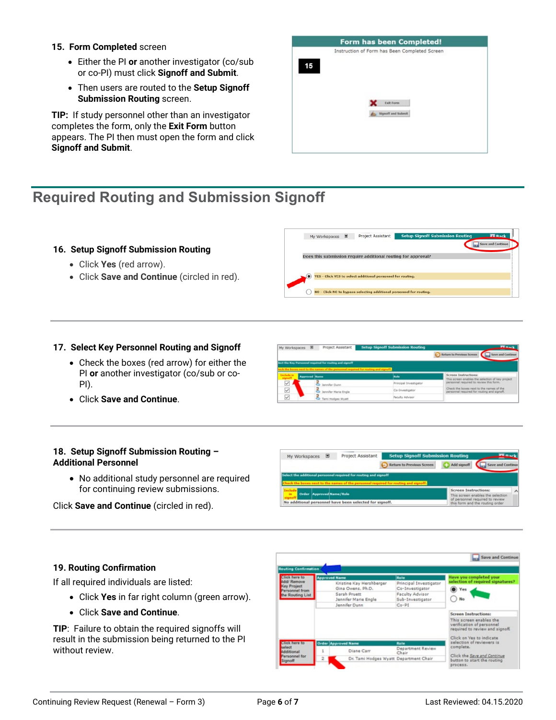#### **15. Form Completed** screen

- Either the PI **or** another investigator (co/sub or co-PI) must click **Signoff and Submit**.
- Then users are routed to the **Setup Signoff Submission Routing** screen.

**TIP:** If study personnel other than an investigator completes the form, only the **Exit Form** button appears. The PI then must open the form and click **Signoff and Submit**.

|    | Instruction of Form has Been Completed Screen |  |
|----|-----------------------------------------------|--|
| 15 |                                               |  |
|    |                                               |  |
|    | <b>Exit Form</b>                              |  |
|    | Signoff and Submit                            |  |
|    |                                               |  |
|    |                                               |  |

# **Required Routing and Submission Signoff**

## **16. Setup Signoff Submission Routing**

- Click **Yes** (red arrow).
- Click **Save and Continue** (circled in red).

#### **17. Select Key Personnel Routing and Signoff**

- Check the boxes (red arrow) for either the PI **or** another investigator (co/sub or co-PI).
- Click **Save and Continue**.

#### **18. Setup Signoff Submission Routing – Additional Personnel**

• No additional study personnel are required for continuing review submissions.

Click **Save and Continue** (circled in red).

| My Workspaces <b>■</b> | Project Assistant | <b>Setup Signoff Submission Routing</b> |             |                   |
|------------------------|-------------------|-----------------------------------------|-------------|-------------------|
|                        |                   | Return to Previous Screen               | Add signoff | Save and Continue |

e Return to Pr

| Select the additional personnel required for routing and signoff                    |                                                                                              |
|-------------------------------------------------------------------------------------|----------------------------------------------------------------------------------------------|
| heck the boxes next to the names of the personnel required for routing and signoff. |                                                                                              |
| in Order Approved Name/Role                                                         | Screen Instructions:<br>This screen enables the selection<br>of personnel required to review |
| No additional personnel have been selected for signoff.                             | this form and the routing order                                                              |

### **19. Routing Confirmation**

If all required individuals are listed:

- Click **Yes** in far right column (green arrow).
- Click **Save and Continue**.

**TIP**: Failure to obtain the required signoffs will result in the submission being returned to the PI without review.



| YES - Click YES to select additional personnel for routing.         |  |
|---------------------------------------------------------------------|--|
| NO - Click NO to bypass selecting additional personnel for routing. |  |
|                                                                     |  |

My Worksnanes **B** Protect Assistant

My Workspaces E Project Assistant Setup

Does this submission require additional routing for approval?